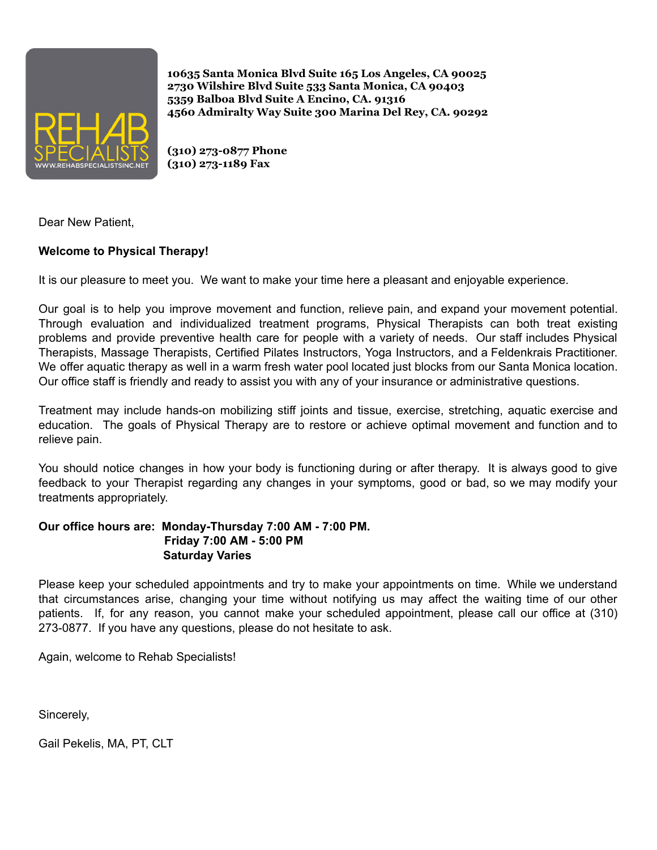

**(310) 273-0877 Phone (310) 273-1189 Fax**

Dear New Patient,

## **Welcome to Physical Therapy!**

It is our pleasure to meet you. We want to make your time here a pleasant and enjoyable experience.

Our goal is to help you improve movement and function, relieve pain, and expand your movement potential. Through evaluation and individualized treatment programs, Physical Therapists can both treat existing problems and provide preventive health care for people with a variety of needs. Our staff includes Physical Therapists, Massage Therapists, Certified Pilates Instructors, Yoga Instructors, and a Feldenkrais Practitioner. We offer aquatic therapy as well in a warm fresh water pool located just blocks from our Santa Monica location. Our office staff is friendly and ready to assist you with any of your insurance or administrative questions.

Treatment may include hands-on mobilizing stiff joints and tissue, exercise, stretching, aquatic exercise and education. The goals of Physical Therapy are to restore or achieve optimal movement and function and to relieve pain.

You should notice changes in how your body is functioning during or after therapy. It is always good to give feedback to your Therapist regarding any changes in your symptoms, good or bad, so we may modify your treatments appropriately.

### **Our office hours are: Monday-Thursday 7:00 AM - 7:00 PM. Friday 7:00 AM - 5:00 PM Saturday Varies**

Please keep your scheduled appointments and try to make your appointments on time. While we understand that circumstances arise, changing your time without notifying us may affect the waiting time of our other patients. If, for any reason, you cannot make your scheduled appointment, please call our office at (310) 273-0877. If you have any questions, please do not hesitate to ask.

Again, welcome to Rehab Specialists!

Sincerely,

Gail Pekelis, MA, PT, CLT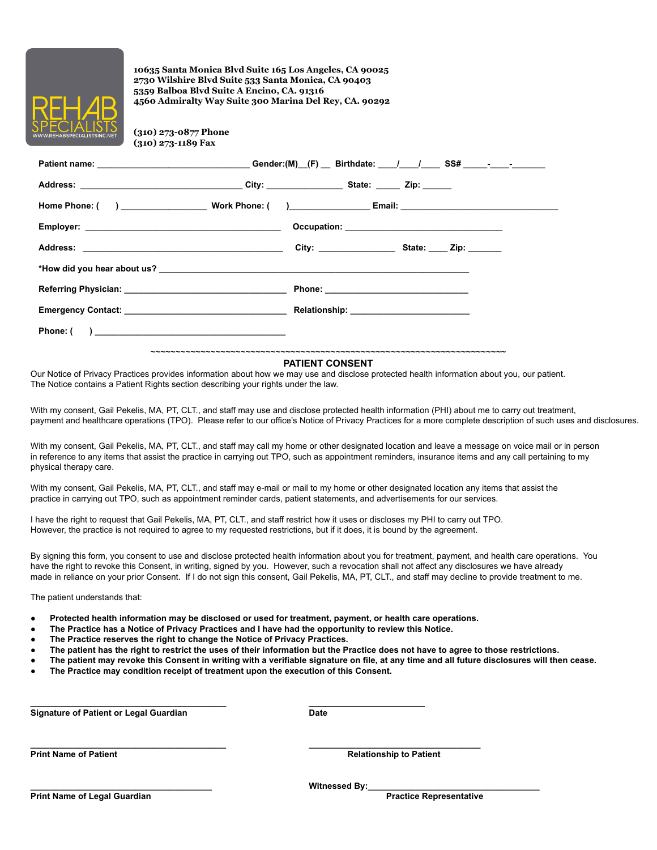

**(310) 273-0877 Phone (310) 273-1189 Fax**

|                                                                                                                                                                                                                                     | Patient name: ________________________________Gender:(M)_(F) __ Birthdate: ___/___/_____SS# _____-____________ |  |  |  |  |
|-------------------------------------------------------------------------------------------------------------------------------------------------------------------------------------------------------------------------------------|----------------------------------------------------------------------------------------------------------------|--|--|--|--|
|                                                                                                                                                                                                                                     |                                                                                                                |  |  |  |  |
|                                                                                                                                                                                                                                     |                                                                                                                |  |  |  |  |
|                                                                                                                                                                                                                                     |                                                                                                                |  |  |  |  |
|                                                                                                                                                                                                                                     |                                                                                                                |  |  |  |  |
|                                                                                                                                                                                                                                     |                                                                                                                |  |  |  |  |
| <b>Referring Physician:</b> Annual Section of the Section of the Section of the Section of the Section of the Section of the Section of the Section of the Section of the Section of the Section of the Section of the Section of t |                                                                                                                |  |  |  |  |
|                                                                                                                                                                                                                                     |                                                                                                                |  |  |  |  |
|                                                                                                                                                                                                                                     |                                                                                                                |  |  |  |  |
|                                                                                                                                                                                                                                     |                                                                                                                |  |  |  |  |

#### **PATIENT CONSENT**

Our Notice of Privacy Practices provides information about how we may use and disclose protected health information about you, our patient. The Notice contains a Patient Rights section describing your rights under the law.

With my consent, Gail Pekelis, MA, PT, CLT., and staff may use and disclose protected health information (PHI) about me to carry out treatment, payment and healthcare operations (TPO). Please refer to our office's Notice of Privacy Practices for a more complete description of such uses and disclosures.

With my consent, Gail Pekelis, MA, PT, CLT., and staff may call my home or other designated location and leave a message on voice mail or in person in reference to any items that assist the practice in carrying out TPO, such as appointment reminders, insurance items and any call pertaining to my physical therapy care.

With my consent, Gail Pekelis, MA, PT, CLT,, and staff may e-mail or mail to my home or other designated location any items that assist the practice in carrying out TPO, such as appointment reminder cards, patient statements, and advertisements for our services.

I have the right to request that Gail Pekelis, MA, PT, CLT., and staff restrict how it uses or discloses my PHI to carry out TPO. However, the practice is not required to agree to my requested restrictions, but if it does, it is bound by the agreement.

By signing this form, you consent to use and disclose protected health information about you for treatment, payment, and health care operations. You have the right to revoke this Consent, in writing, signed by you. However, such a revocation shall not affect any disclosures we have already made in reliance on your prior Consent. If I do not sign this consent, Gail Pekelis, MA, PT, CLT., and staff may decline to provide treatment to me.

The patient understands that:

- **● Protected health information may be disclosed or used for treatment, payment, or health care operations.**
- The Practice has a Notice of Privacy Practices and I have had the opportunity to review this Notice.
- **● The Practice reserves the right to change the Notice of Privacy Practices.**
- The patient has the right to restrict the uses of their information but the Practice does not have to agree to those restrictions.
- The patient may revoke this Consent in writing with a verifiable signature on file, at any time and all future disclosures will then cease.
- **● The Practice may condition receipt of treatment upon the execution of this Consent.**

\_\_\_\_\_\_\_\_\_\_\_\_\_\_\_\_\_\_\_\_\_\_\_\_\_\_\_\_\_\_\_\_\_\_\_\_\_\_\_\_\_ **Signature of Patient or Legal Guardian Date**

**\_\_\_\_\_\_\_\_\_\_\_\_\_\_\_\_\_\_\_\_\_\_\_\_\_\_\_\_\_\_\_\_\_\_\_\_\_\_\_\_\_ \_\_\_\_\_\_\_\_\_\_\_\_\_\_\_\_\_\_\_\_\_\_\_\_\_\_\_\_\_\_\_\_\_\_\_\_**

**Print Name of Patient Relationship to Patient**

**\_\_\_\_\_\_\_\_\_\_\_\_\_\_\_\_\_\_\_\_\_\_\_\_\_\_\_\_\_\_\_\_\_\_\_\_\_\_ Witnessed By:\_\_\_\_\_\_\_\_\_\_\_\_\_\_\_\_\_\_\_\_\_\_\_\_\_\_\_\_\_\_\_\_\_\_\_\_**

**Print Name of Legal Guardian Practice Representative**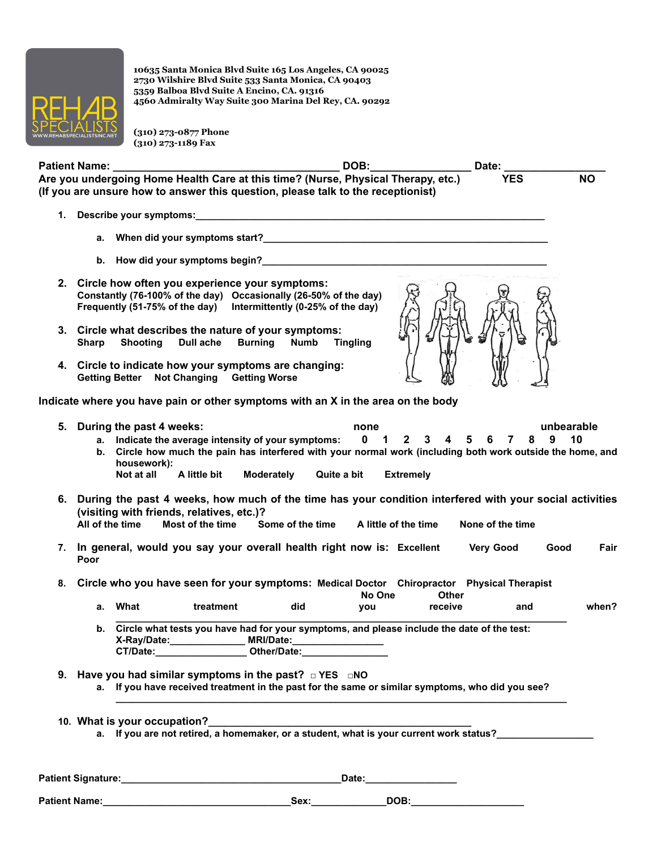

**(310) 273-0877 Phone (310) 273-1189 Fax**

| <b>Patient Name:</b>                                                              | DOB: | Date:      |    |
|-----------------------------------------------------------------------------------|------|------------|----|
| Are you undergoing Home Health Care at this time? (Nurse, Physical Therapy, etc.) |      | <b>YES</b> | ΝO |
| (If you are unsure how to answer this question, please talk to the receptionist)  |      |            |    |

- **1. Describe your symptoms:\_\_\_\_\_\_\_\_\_\_\_\_\_\_\_\_\_\_\_\_\_\_\_\_\_\_\_\_\_\_\_\_\_\_\_\_\_\_\_\_\_\_\_\_\_\_\_\_\_\_\_\_\_\_\_\_\_\_\_\_\_\_\_\_\_**
	- **a. When did your symptoms start?\_\_\_\_\_\_\_\_\_\_\_\_\_\_\_\_\_\_\_\_\_\_\_\_\_\_\_\_\_\_\_\_\_\_\_\_\_\_\_\_\_\_\_\_\_\_\_\_\_\_\_\_\_**
	- **b. How did your symptoms begin?\_\_\_\_\_\_\_\_\_\_\_\_\_\_\_\_\_\_\_\_\_\_\_\_\_\_\_\_\_\_\_\_\_\_\_\_\_\_\_\_\_\_\_\_\_\_\_\_\_\_\_\_\_**
- **2. Circle how often you experience your symptoms: Constantly (76-100% of the day) Occasionally (26-50% of the day) Frequently (51-75% of the day) Intermittently (0-25% of the day)**
- **3. Circle what describes the nature of your symptoms: Sharp Shooting Dull ache Burning Numb Tingling**
- **4. Circle to indicate how your symptoms are changing: Getting Better Not Changing Getting Worse**

**Indicate where you have pain or other symptoms with an X in the area on the body**

| 5. | During the past 4 weeks:<br>unbearable<br>none                                                                                                                                                                                                              |  |  |  |
|----|-------------------------------------------------------------------------------------------------------------------------------------------------------------------------------------------------------------------------------------------------------------|--|--|--|
|    | Indicate the average intensity of your symptoms: 0 1 2 3 4 5 6 7 8 9<br>10<br>а.<br>Circle how much the pain has interfered with your normal work (including both work outside the home, and<br>b.<br>housework):                                           |  |  |  |
|    | A little bit<br>Moderately<br>Not at all<br>Quite a bit<br><b>Extremely</b>                                                                                                                                                                                 |  |  |  |
|    | 6. During the past 4 weeks, how much of the time has your condition interfered with your social activities<br>(visiting with friends, relatives, etc.)?<br>Most of the time<br>All of the time<br>Some of the time A little of the time<br>None of the time |  |  |  |
|    |                                                                                                                                                                                                                                                             |  |  |  |
|    | 7. In general, would you say your overall health right now is: Excellent<br><b>Very Good</b><br>Fair<br>Good<br>Poor                                                                                                                                        |  |  |  |
| 8. | Circle who you have seen for your symptoms: Medical Doctor Chiropractor Physical Therapist<br>No One<br>Other                                                                                                                                               |  |  |  |
|    | treatment<br>a. What<br>did<br>when?<br>receive<br>and<br>you                                                                                                                                                                                               |  |  |  |
|    | Circle what tests you have had for your symptoms, and please include the date of the test:<br>b.                                                                                                                                                            |  |  |  |
|    | 9. Have you had similar symptoms in the past? $\Box$ YES $\Box$ NO<br>a. If you have received treatment in the past for the same or similar symptoms, who did you see?                                                                                      |  |  |  |

- **10. What is your occupation?\_\_\_\_\_\_\_\_\_\_\_\_\_\_\_\_\_\_\_\_\_\_\_\_\_\_\_\_\_\_\_\_\_\_\_\_\_\_\_\_\_\_\_\_\_\_\_\_\_**
	- **a. If you are not retired, a homemaker, or a student, what is your current work status?\_\_\_\_\_\_\_\_\_\_\_\_\_\_\_\_\_\_**

**Patient Signature:\_\_\_\_\_\_\_\_\_\_\_\_\_\_\_\_\_\_\_\_\_\_\_\_\_\_\_\_\_\_\_\_\_\_\_\_\_\_\_\_\_Date:\_\_\_\_\_\_\_\_\_\_\_\_\_\_\_\_\_**

**Patient Name:\_\_\_\_\_\_\_\_\_\_\_\_\_\_\_\_\_\_\_\_\_\_\_\_\_\_\_\_\_\_\_\_\_\_\_Sex:\_\_\_\_\_\_\_\_\_\_\_\_\_\_DOB:\_\_\_\_\_\_\_\_\_\_\_\_\_\_\_\_\_\_\_\_\_**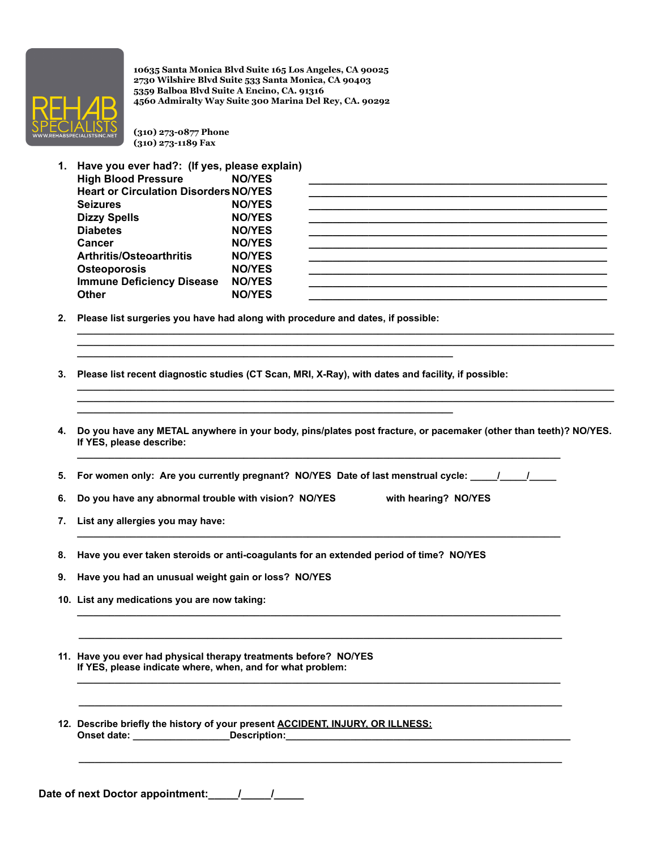

**(310) 273-0877 Phone (310) 273-1189 Fax**

**1. Have you ever had?: (If yes, please explain)**

| <b>High Blood Pressure</b>                   | <b>NO/YES</b> |  |
|----------------------------------------------|---------------|--|
| <b>Heart or Circulation Disorders NO/YES</b> |               |  |
| <b>Seizures</b>                              | <b>NO/YES</b> |  |
| <b>Dizzy Spells</b>                          | <b>NO/YES</b> |  |
| <b>Diabetes</b>                              | <b>NO/YES</b> |  |
| Cancer                                       | <b>NO/YES</b> |  |
| <b>Arthritis/Osteoarthritis</b>              | <b>NO/YES</b> |  |
| <b>Osteoporosis</b>                          | <b>NO/YES</b> |  |
| <b>Immune Deficiency Disease</b>             | <b>NO/YES</b> |  |
| Other                                        | <b>NO/YES</b> |  |

**\_\_\_\_\_\_\_\_\_\_\_\_\_\_\_\_\_\_\_\_\_\_\_\_\_\_\_\_\_\_\_\_\_\_\_\_\_\_\_\_\_\_\_\_\_\_\_\_\_\_\_\_\_\_\_\_\_\_\_\_\_\_\_\_\_\_\_\_\_\_\_\_\_\_\_\_\_\_\_\_\_\_\_\_\_\_\_\_\_\_\_\_\_\_\_\_\_\_\_\_ \_\_\_\_\_\_\_\_\_\_\_\_\_\_\_\_\_\_\_\_\_\_\_\_\_\_\_\_\_\_\_\_\_\_\_\_\_\_\_\_\_\_\_\_\_\_\_\_\_\_\_\_\_\_\_\_\_\_\_\_\_\_\_\_\_\_\_\_\_\_\_\_\_\_\_\_\_\_\_\_\_\_\_\_\_\_\_\_\_\_\_\_\_\_\_\_\_\_\_\_**

**\_\_\_\_\_\_\_\_\_\_\_\_\_\_\_\_\_\_\_\_\_\_\_\_\_\_\_\_\_\_\_\_\_\_\_\_\_\_\_\_\_\_\_\_\_\_\_\_\_\_\_\_\_\_\_\_\_\_\_\_\_\_\_\_\_\_\_\_\_\_\_\_\_\_\_\_\_\_\_\_\_\_\_\_\_\_\_\_\_\_\_\_\_\_\_\_\_\_\_\_ \_\_\_\_\_\_\_\_\_\_\_\_\_\_\_\_\_\_\_\_\_\_\_\_\_\_\_\_\_\_\_\_\_\_\_\_\_\_\_\_\_\_\_\_\_\_\_\_\_\_\_\_\_\_\_\_\_\_\_\_\_\_\_\_\_\_\_\_\_\_\_\_\_\_\_\_\_\_\_\_\_\_\_\_\_\_\_\_\_\_\_\_\_\_\_\_\_\_\_\_**

- **2. Please list surgeries you have had along with procedure and dates, if possible:**
- **3. Please list recent diagnostic studies (CT Scan, MRI, X-Ray), with dates and facility, if possible:**

**\_\_\_\_\_\_\_\_\_\_\_\_\_\_\_\_\_\_\_\_\_\_\_\_\_\_\_\_\_\_\_\_\_\_\_\_\_\_\_\_\_\_\_\_\_\_\_\_\_\_\_\_\_\_\_\_\_\_\_\_\_\_\_\_\_\_\_\_\_\_**

**\_\_\_\_\_\_\_\_\_\_\_\_\_\_\_\_\_\_\_\_\_\_\_\_\_\_\_\_\_\_\_\_\_\_\_\_\_\_\_\_\_\_\_\_\_\_\_\_\_\_\_\_\_\_\_\_\_\_\_\_\_\_\_\_\_\_\_\_\_\_**

**4. Do you have any METAL anywhere in your body, pins/plates post fracture, or pacemaker (other than teeth)? NO/YES. If YES, please describe: \_\_\_\_\_\_\_\_\_\_\_\_\_\_\_\_\_\_\_\_\_\_\_\_\_\_\_\_\_\_\_\_\_\_\_\_\_\_\_\_\_\_\_\_\_\_\_\_\_\_\_\_\_\_\_\_\_\_\_\_\_\_\_\_\_\_\_\_\_\_\_\_\_\_\_\_\_\_\_\_\_\_\_\_\_\_\_\_\_\_**

**5. For women only: Are you currently pregnant? NO/YES Date of last menstrual cycle: \_\_\_\_\_/\_\_\_\_\_/\_\_\_\_\_**

**\_\_\_\_\_\_\_\_\_\_\_\_\_\_\_\_\_\_\_\_\_\_\_\_\_\_\_\_\_\_\_\_\_\_\_\_\_\_\_\_\_\_\_\_\_\_\_\_\_\_\_\_\_\_\_\_\_\_\_\_\_\_\_\_\_\_\_\_\_\_\_\_\_\_\_\_\_\_\_\_\_\_\_\_\_\_\_\_\_\_**

**\_\_\_\_\_\_\_\_\_\_\_\_\_\_\_\_\_\_\_\_\_\_\_\_\_\_\_\_\_\_\_\_\_\_\_\_\_\_\_\_\_\_\_\_\_\_\_\_\_\_\_\_\_\_\_\_\_\_\_\_\_\_\_\_\_\_\_\_\_\_\_\_\_\_\_\_\_\_\_\_\_\_\_\_\_\_\_\_\_\_**

**\_\_\_\_\_\_\_\_\_\_\_\_\_\_\_\_\_\_\_\_\_\_\_\_\_\_\_\_\_\_\_\_\_\_\_\_\_\_\_\_\_\_\_\_\_\_\_\_\_\_\_\_\_\_\_\_\_\_\_\_\_\_\_\_\_\_\_\_\_\_\_\_\_\_\_\_\_\_\_\_\_\_\_\_\_\_\_\_\_\_**

**\_\_\_\_\_\_\_\_\_\_\_\_\_\_\_\_\_\_\_\_\_\_\_\_\_\_\_\_\_\_\_\_\_\_\_\_\_\_\_\_\_\_\_\_\_\_\_\_\_\_\_\_\_\_\_\_\_\_\_\_\_\_\_\_\_\_\_\_\_\_\_\_\_\_\_\_\_\_\_\_\_\_\_\_\_\_\_\_\_\_**

**\_\_\_\_\_\_\_\_\_\_\_\_\_\_\_\_\_\_\_\_\_\_\_\_\_\_\_\_\_\_\_\_\_\_\_\_\_\_\_\_\_\_\_\_\_\_\_\_\_\_\_\_\_\_\_\_\_\_\_\_\_\_\_\_\_\_\_\_\_\_\_\_\_\_\_\_\_\_\_\_\_\_\_\_\_\_\_\_\_\_**

**6. Do you have any abnormal trouble with vision? NO/YES with hearing? NO/YES**

- **7. List any allergies you may have:**
- **8. Have you ever taken steroids or anti-coagulants for an extended period of time? NO/YES**
- **9. Have you had an unusual weight gain or loss? NO/YES**
- **10. List any medications you are now taking:**
- **11. Have you ever had physical therapy treatments before? NO/YES If YES, please indicate where, when, and for what problem: \_\_\_\_\_\_\_\_\_\_\_\_\_\_\_\_\_\_\_\_\_\_\_\_\_\_\_\_\_\_\_\_\_\_\_\_\_\_\_\_\_\_\_\_\_\_\_\_\_\_\_\_\_\_\_\_\_\_\_\_\_\_\_\_\_\_\_\_\_\_\_\_\_\_\_\_\_\_\_\_\_\_\_\_\_\_\_\_\_\_**
- **12. Describe briefly the history of your present ACCIDENT, INJURY, OR ILLNESS: Onset date: \_\_\_\_\_\_\_\_\_\_\_\_\_\_\_\_\_\_\_\_\_\_\_\_\_\_\_Description:\_\_\_\_\_\_**

**Date of next Doctor appointment:\_\_\_\_\_/\_\_\_\_\_/\_\_\_\_\_**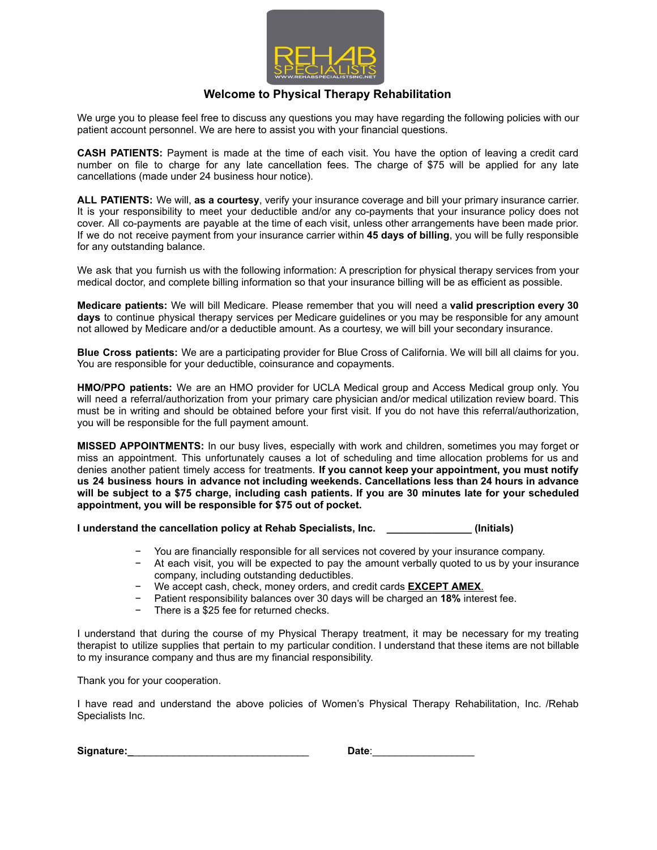

#### **Welcome to Physical Therapy Rehabilitation**

We urge you to please feel free to discuss any questions you may have regarding the following policies with our patient account personnel. We are here to assist you with your financial questions.

**CASH PATIENTS:** Payment is made at the time of each visit. You have the option of leaving a credit card number on file to charge for any late cancellation fees. The charge of \$75 will be applied for any late cancellations (made under 24 business hour notice).

**ALL PATIENTS:** We will, **as a courtesy**, verify your insurance coverage and bill your primary insurance carrier. It is your responsibility to meet your deductible and/or any co-payments that your insurance policy does not cover. All co-payments are payable at the time of each visit, unless other arrangements have been made prior. If we do not receive payment from your insurance carrier within **45 days of billing**, you will be fully responsible for any outstanding balance.

We ask that you furnish us with the following information: A prescription for physical therapy services from your medical doctor, and complete billing information so that your insurance billing will be as efficient as possible.

**Medicare patients:** We will bill Medicare. Please remember that you will need a **valid prescription every 30 days** to continue physical therapy services per Medicare guidelines or you may be responsible for any amount not allowed by Medicare and/or a deductible amount. As a courtesy, we will bill your secondary insurance.

**Blue Cross patients:** We are a participating provider for Blue Cross of California. We will bill all claims for you. You are responsible for your deductible, coinsurance and copayments.

**HMO/PPO patients:** We are an HMO provider for UCLA Medical group and Access Medical group only. You will need a referral/authorization from your primary care physician and/or medical utilization review board. This must be in writing and should be obtained before your first visit. If you do not have this referral/authorization, you will be responsible for the full payment amount.

**MISSED APPOINTMENTS:** In our busy lives, especially with work and children, sometimes you may forget or miss an appointment. This unfortunately causes a lot of scheduling and time allocation problems for us and denies another patient timely access for treatments. **If you cannot keep your appointment, you must notify us 24 business hours in advance not including weekends. Cancellations less than 24 hours in advance** will be subject to a \$75 charge, including cash patients. If you are 30 minutes late for your scheduled **appointment, you will be responsible for \$75 out of pocket.**

**I understand the cancellation policy at Rehab Specialists, Inc. \_\_\_\_\_\_\_\_\_\_\_\_\_\_\_ (Initials)**

- − You are financially responsible for all services not covered by your insurance company.
- − At each visit, you will be expected to pay the amount verbally quoted to us by your insurance company, including outstanding deductibles.
- − We accept cash, check, money orders, and credit cards **EXCEPT AMEX**.
- − Patient responsibility balances over 30 days will be charged an **18%** interest fee.
- There is a \$25 fee for returned checks.

I understand that during the course of my Physical Therapy treatment, it may be necessary for my treating therapist to utilize supplies that pertain to my particular condition. I understand that these items are not billable to my insurance company and thus are my financial responsibility.

Thank you for your cooperation.

I have read and understand the above policies of Women's Physical Therapy Rehabilitation, Inc. /Rehab Specialists Inc.

| Signature: | Date∶ |
|------------|-------|
|------------|-------|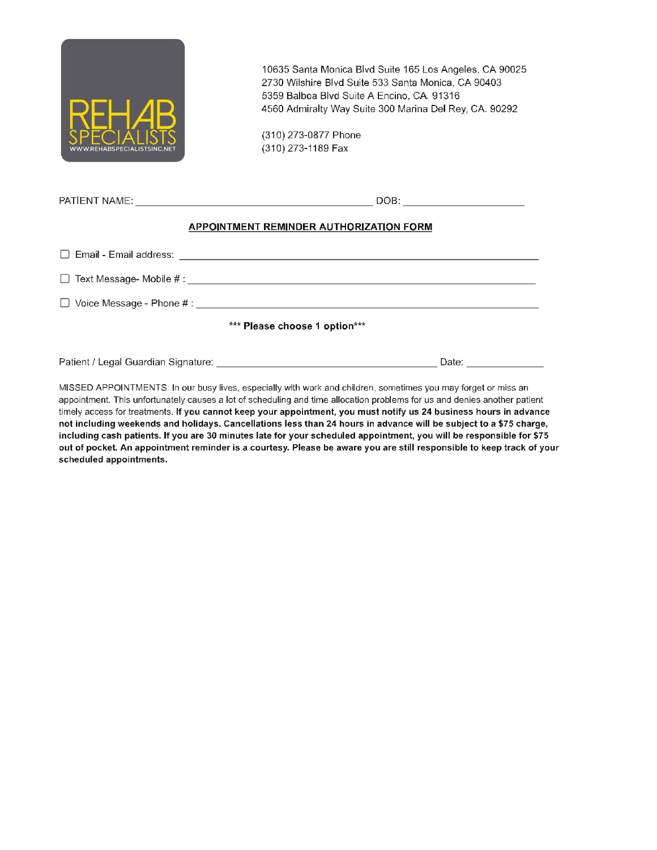

(310) 273-0877 Phone (310) 273-1189 Fax

|                               | DOB: _________________________                                                                                                     |  |  |
|-------------------------------|------------------------------------------------------------------------------------------------------------------------------------|--|--|
|                               | APPOINTMENT REMINDER AUTHORIZATION FORM                                                                                            |  |  |
|                               |                                                                                                                                    |  |  |
|                               |                                                                                                                                    |  |  |
|                               |                                                                                                                                    |  |  |
| *** Please choose 1 option*** |                                                                                                                                    |  |  |
|                               | Patient / Legal Guardian Signature: New York Change of the Change of the Change of the Change of the Change of<br>Date: Laternians |  |  |

MISSED APPOINTMENTS: In our busy lives, especially with work and children, sometimes you may forget or miss an appointment. This unfortunately causes a lot of scheduling and time allocation problems for us and denies another patient timely access for treatments. If you cannot keep your appointment, you must notify us 24 business hours in advance not including weekends and holidays. Cancellations less than 24 hours in advance will be subject to a \$75 charge, including cash patients. If you are 30 minutes late for your scheduled appointment, you will be responsible for \$75 out of pocket. An appointment reminder is a courtesy. Please be aware you are still responsible to keep track of your scheduled appointments.